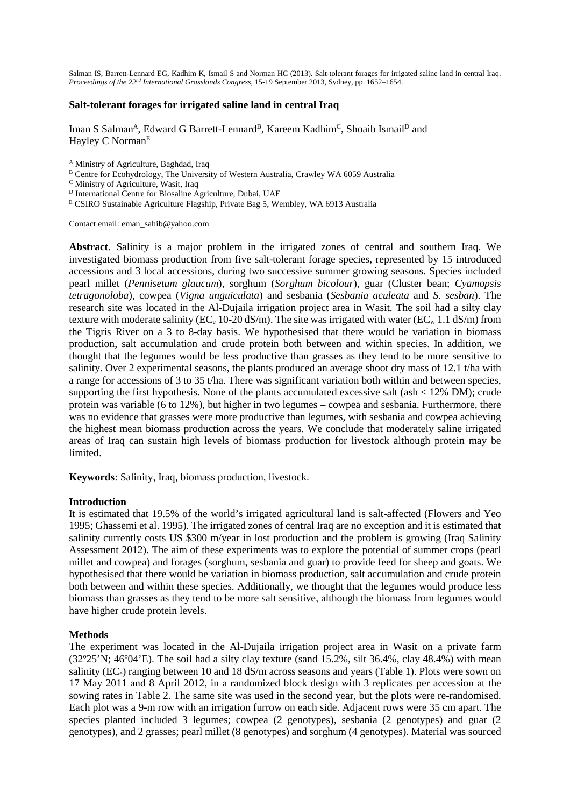Salman IS, Barrett-Lennard EG, Kadhim K, Ismail S and Norman HC (2013). Salt-tolerant forages for irrigated saline land in central Iraq. *Proceedings of the 22nd International Grasslands Congress*, 15-19 September 2013, Sydney, pp. 1652–1654.

## **Salt-tolerant forages for irrigated saline land in central Iraq**

Iman S Salman<sup>A</sup>, Edward G Barrett-Lennard<sup>B</sup>, Kareem Kadhim<sup>C</sup>, Shoaib Ismail<sup>D</sup> and Hayley C Norman<sup>E</sup>

- <sup>A</sup> Ministry of Agriculture, Baghdad, Iraq
- B Centre for Ecohydrology, The University of Western Australia, Crawley WA 6059 Australia
- <sup>C</sup> Ministry of Agriculture, Wasit, Iraq
- <sup>D</sup> International Centre for Biosaline Agriculture, Dubai, UAE
- <sup>E</sup> CSIRO Sustainable Agriculture Flagship, Private Bag 5, Wembley, WA 6913 Australia

Contact email: eman\_sahib@yahoo.com

**Abstract**. Salinity is a major problem in the irrigated zones of central and southern Iraq. We investigated biomass production from five salt-tolerant forage species, represented by 15 introduced accessions and 3 local accessions, during two successive summer growing seasons. Species included pearl millet (*Pennisetum glaucum*), sorghum (*Sorghum bicolour*), guar (Cluster bean; *Cyamopsis tetragonoloba*), cowpea (*Vigna unguiculata*) and sesbania (*Sesbania aculeata* and *S. sesban*). The research site was located in the Al-Dujaila irrigation project area in Wasit. The soil had a silty clay texture with moderate salinity ( $EC_e$  10-20 dS/m). The site was irrigated with water ( $EC_w$  1.1 dS/m) from the Tigris River on a 3 to 8-day basis. We hypothesised that there would be variation in biomass production, salt accumulation and crude protein both between and within species. In addition, we thought that the legumes would be less productive than grasses as they tend to be more sensitive to salinity. Over 2 experimental seasons, the plants produced an average shoot dry mass of 12.1 t/ha with a range for accessions of 3 to 35 t/ha. There was significant variation both within and between species, supporting the first hypothesis. None of the plants accumulated excessive salt (ash  $\lt$  12% DM); crude protein was variable (6 to 12%), but higher in two legumes – cowpea and sesbania. Furthermore, there was no evidence that grasses were more productive than legumes, with sesbania and cowpea achieving the highest mean biomass production across the years. We conclude that moderately saline irrigated areas of Iraq can sustain high levels of biomass production for livestock although protein may be limited.

**Keywords**: Salinity, Iraq, biomass production, livestock.

# **Introduction**

It is estimated that 19.5% of the world's irrigated agricultural land is salt-affected (Flowers and Yeo 1995; Ghassemi et al. 1995). The irrigated zones of central Iraq are no exception and it is estimated that salinity currently costs US \$300 m/year in lost production and the problem is growing (Iraq Salinity Assessment 2012). The aim of these experiments was to explore the potential of summer crops (pearl millet and cowpea) and forages (sorghum, sesbania and guar) to provide feed for sheep and goats. We hypothesised that there would be variation in biomass production, salt accumulation and crude protein both between and within these species. Additionally, we thought that the legumes would produce less biomass than grasses as they tend to be more salt sensitive, although the biomass from legumes would have higher crude protein levels.

## **Methods**

The experiment was located in the Al-Dujaila irrigation project area in Wasit on a private farm  $(32^{\circ}25^{\prime}N; 46^{\circ}04^{\prime}E)$ . The soil had a silty clay texture (sand 15.2%, silt 36.4%, clay 48.4%) with mean salinity ( $EC_e$ ) ranging between 10 and 18 dS/m across seasons and years (Table 1). Plots were sown on 17 May 2011 and 8 April 2012, in a randomized block design with 3 replicates per accession at the sowing rates in Table 2. The same site was used in the second year, but the plots were re-randomised. Each plot was a 9-m row with an irrigation furrow on each side. Adjacent rows were 35 cm apart. The species planted included 3 legumes; cowpea (2 genotypes), sesbania (2 genotypes) and guar (2 genotypes), and 2 grasses; pearl millet (8 genotypes) and sorghum (4 genotypes). Material was sourced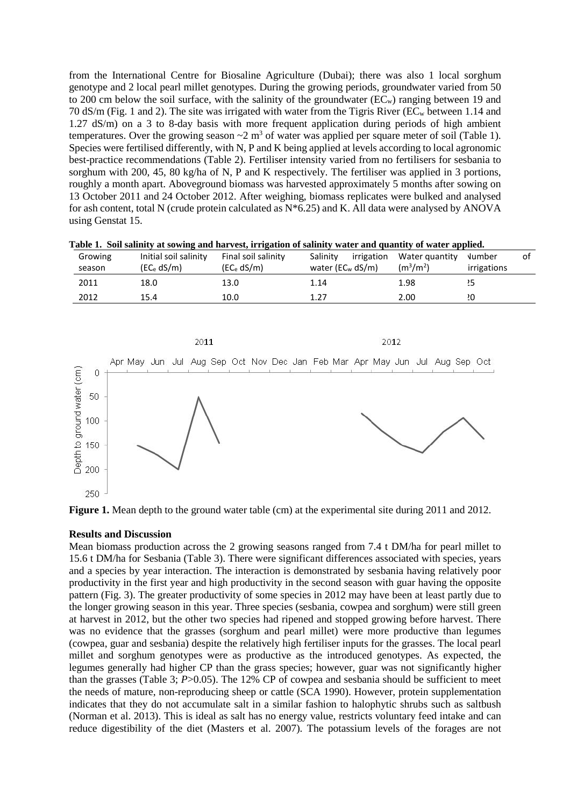from the International Centre for Biosaline Agriculture (Dubai); there was also 1 local sorghum genotype and 2 local pearl millet genotypes. During the growing periods, groundwater varied from 50 to 200 cm below the soil surface, with the salinity of the groundwater  $(EC<sub>w</sub>)$  ranging between 19 and 70 dS/m (Fig. 1 and 2). The site was irrigated with water from the Tigris River (ECw between 1.14 and 1.27 dS/m) on a 3 to 8-day basis with more frequent application during periods of high ambient temperatures. Over the growing season  $\sim$ 2 m<sup>3</sup> of water was applied per square meter of soil (Table 1). Species were fertilised differently, with N, P and K being applied at levels according to local agronomic best-practice recommendations (Table 2). Fertiliser intensity varied from no fertilisers for sesbania to sorghum with 200, 45, 80 kg/ha of N, P and K respectively. The fertiliser was applied in 3 portions, roughly a month apart. Aboveground biomass was harvested approximately 5 months after sowing on 13 October 2011 and 24 October 2012. After weighing, biomass replicates were bulked and analysed for ash content, total N (crude protein calculated as  $N*6.25$ ) and K. All data were analysed by ANOVA using Genstat 15.

|  |  |  | Table 1. Soil salinity at sowing and harvest, irrigation of salinity water and quantity of water applied. |  |  |  |
|--|--|--|-----------------------------------------------------------------------------------------------------------|--|--|--|
|--|--|--|-----------------------------------------------------------------------------------------------------------|--|--|--|

| Growing<br>season | Initial soil salinity<br>(EC <sub>e</sub> dS/m) | Final soil salinity<br>(EC <sub>e</sub> dS/m) | Salinity<br>irrigation<br>water (EC <sub>w</sub> dS/m) | Water quantity<br>$(m^{3}/m^{2})$ | Number<br>irrigations | οt |
|-------------------|-------------------------------------------------|-----------------------------------------------|--------------------------------------------------------|-----------------------------------|-----------------------|----|
| 2011              | 18.0                                            | 13.0                                          | 1.14                                                   | 1.98                              | 25                    |    |
| 2012              | 15.4                                            | 10.0                                          | 1.27                                                   | 2.00                              | 0י.                   |    |



**Figure 1.** Mean depth to the ground water table (cm) at the experimental site during 2011 and 2012.

## **Results and Discussion**

Mean biomass production across the 2 growing seasons ranged from 7.4 t DM/ha for pearl millet to 15.6 t DM/ha for Sesbania (Table 3). There were significant differences associated with species, years and a species by year interaction. The interaction is demonstrated by sesbania having relatively poor productivity in the first year and high productivity in the second season with guar having the opposite pattern (Fig. 3). The greater productivity of some species in 2012 may have been at least partly due to the longer growing season in this year. Three species (sesbania, cowpea and sorghum) were still green at harvest in 2012, but the other two species had ripened and stopped growing before harvest. There was no evidence that the grasses (sorghum and pearl millet) were more productive than legumes (cowpea, guar and sesbania) despite the relatively high fertiliser inputs for the grasses. The local pearl millet and sorghum genotypes were as productive as the introduced genotypes. As expected, the legumes generally had higher CP than the grass species; however, guar was not significantly higher than the grasses (Table 3; *P*>0.05). The 12% CP of cowpea and sesbania should be sufficient to meet the needs of mature, non-reproducing sheep or cattle (SCA 1990). However, protein supplementation indicates that they do not accumulate salt in a similar fashion to halophytic shrubs such as saltbush (Norman et al. 2013). This is ideal as salt has no energy value, restricts voluntary feed intake and can reduce digestibility of the diet (Masters et al. 2007). The potassium levels of the forages are not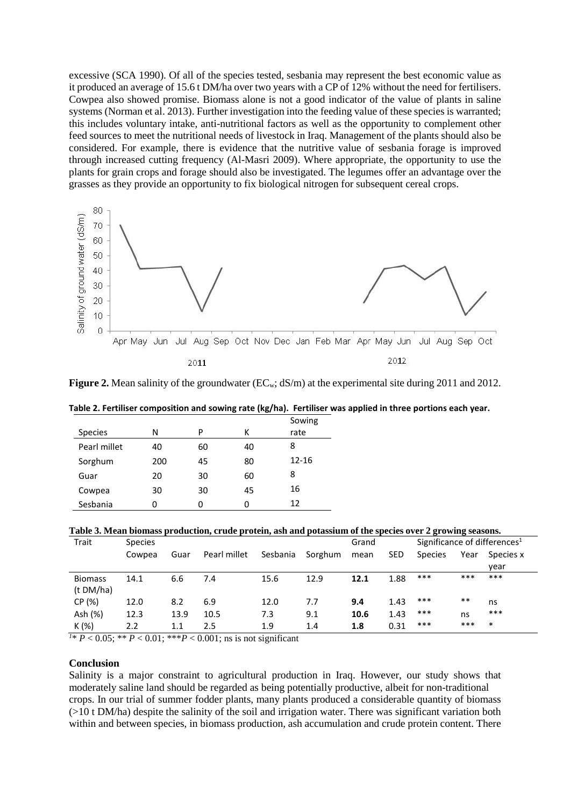excessive (SCA 1990). Of all of the species tested, sesbania may represent the best economic value as it produced an average of 15.6 t DM/ha over two years with a CP of 12% without the need for fertilisers. Cowpea also showed promise. Biomass alone is not a good indicator of the value of plants in saline systems (Norman et al. 2013). Further investigation into the feeding value of these species is warranted; this includes voluntary intake, anti-nutritional factors as well as the opportunity to complement other feed sources to meet the nutritional needs of livestock in Iraq. Management of the plants should also be considered. For example, there is evidence that the nutritive value of sesbania forage is improved through increased cutting frequency (Al-Masri 2009). Where appropriate, the opportunity to use the plants for grain crops and forage should also be investigated. The legumes offer an advantage over the grasses as they provide an opportunity to fix biological nitrogen for subsequent cereal crops.



**Figure 2.** Mean salinity of the groundwater (EC<sub>w</sub>; dS/m) at the experimental site during 2011 and 2012.

| Table 2. Fertiliser composition and sowing rate (kg/ha). Fertiliser was applied in three portions each year. |        |
|--------------------------------------------------------------------------------------------------------------|--------|
|                                                                                                              | Sowing |

| <b>Species</b> | N   | P  | к  | Sowing<br>rate |
|----------------|-----|----|----|----------------|
|                |     |    |    |                |
| Pearl millet   | 40  | 60 | 40 | 8              |
| Sorghum        | 200 | 45 | 80 | $12 - 16$      |
| Guar           | 20  | 30 | 60 | 8              |
| Cowpea         | 30  | 30 | 45 | 16             |
| Sesbania       | 0   | O  |    | 12             |

**Table 3. Mean biomass production, crude protein, ash and potassium of the species over 2 growing seasons.** 

| Trait          | <b>Species</b> |      |              |          | Grand   |      | Significance of differences <sup>1</sup> |                |       |           |
|----------------|----------------|------|--------------|----------|---------|------|------------------------------------------|----------------|-------|-----------|
|                | Cowpea         | Guar | Pearl millet | Sesbania | Sorghum | mean | <b>SED</b>                               | <b>Species</b> | Year  | Species x |
|                |                |      |              |          |         |      |                                          |                |       | year      |
| <b>Biomass</b> | 14.1           | 6.6  | 7.4          | 15.6     | 12.9    | 12.1 | 1.88                                     | $***$          | ***   | ***       |
| (t DM/ha)      |                |      |              |          |         |      |                                          |                |       |           |
| CP (%)         | 12.0           | 8.2  | 6.9          | 12.0     | 7.7     | 9.4  | 1.43                                     | ***            | $***$ | ns        |
| Ash (%)        | 12.3           | 13.9 | 10.5         | 7.3      | 9.1     | 10.6 | 1.43                                     | ***            | ns    | $***$     |
| $K(\%)$        | 2.2            | 1.1  | 2.5          | 1.9      | 1.4     | 1.8  | 0.31                                     | ***            | ***   | $\ast$    |

*1* \* *P* < 0.05; \*\* *P* < 0.01; \*\*\**P* < 0.001; ns is not significant

## **Conclusion**

Salinity is a major constraint to agricultural production in Iraq. However, our study shows that moderately saline land should be regarded as being potentially productive, albeit for non-traditional crops. In our trial of summer fodder plants, many plants produced a considerable quantity of biomass (>10 t DM/ha) despite the salinity of the soil and irrigation water. There was significant variation both within and between species, in biomass production, ash accumulation and crude protein content. There